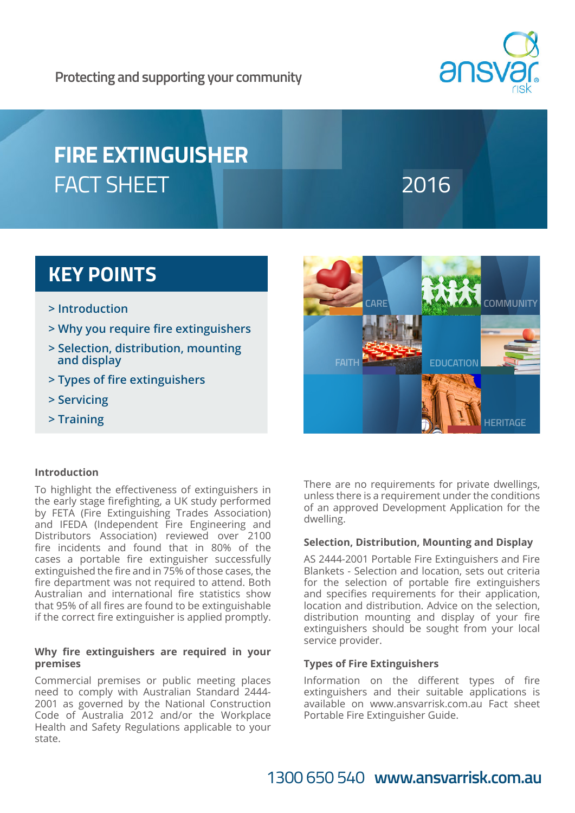

# **FIRE EXTINGUISHER**  FACT SHEET **The COMMUNIST COMMUNIST PROPERTY AND LOCAL SHEET**

## **KEY POINTS**

- **> Introduction**
- **> Why you require fire extinguishers**
- **> Selection, distribution, mounting and display**
- **> Types of fire extinguishers**
- **> Servicing**
- **> Training**



### **Introduction**

To highlight the effectiveness of extinguishers in the early stage firefighting, a UK study performed by FETA (Fire Extinguishing Trades Association) and IFEDA (Independent Fire Engineering and Distributors Association) reviewed over 2100 fire incidents and found that in 80% of the cases a portable fire extinguisher successfully extinguished the fire and in 75% of those cases, the fire department was not required to attend. Both Australian and international fire statistics show that 95% of all fires are found to be extinguishable if the correct fire extinguisher is applied promptly.

#### **Why fire extinguishers are required in your premises**

Commercial premises or public meeting places need to comply with Australian Standard 2444- 2001 as governed by the National Construction Code of Australia 2012 and/or the Workplace Health and Safety Regulations applicable to your state.

There are no requirements for private dwellings, unless there is a requirement under the conditions of an approved Development Application for the dwelling.

#### **Selection, Distribution, Mounting and Display**

AS 2444-2001 Portable Fire Extinguishers and Fire Blankets - Selection and location, sets out criteria for the selection of portable fire extinguishers and specifies requirements for their application, location and distribution. Advice on the selection, distribution mounting and display of your fire extinguishers should be sought from your local service provider.

#### **Types of Fire Extinguishers**

Information on the different types of fire extinguishers and their suitable applications is available on www.ansvarrisk.com.au Fact sheet Portable Fire Extinguisher Guide.